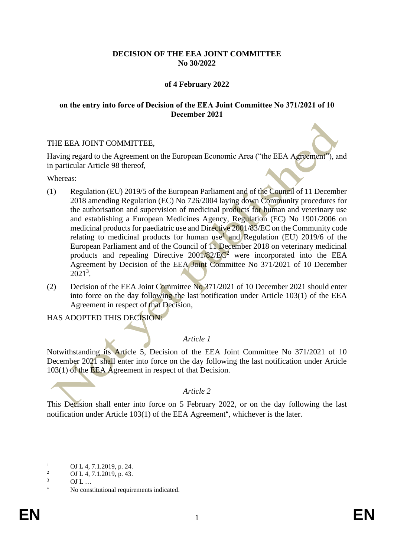## **DECISION OF THE EEA JOINT COMMITTEE No 30/2022**

## **of 4 February 2022**

#### **on the entry into force of Decision of the EEA Joint Committee No 371/2021 of 10 December 2021**

### THE EEA JOINT COMMITTEE,

Having regard to the Agreement on the European Economic Area ("the EEA Agreement"), and in particular Article 98 thereof,

Whereas:

- (1) Regulation (EU) 2019/5 of the European Parliament and of the Council of 11 December 2018 amending Regulation (EC) No 726/2004 laying down Community procedures for the authorisation and supervision of medicinal products for human and veterinary use and establishing a European Medicines Agency, Regulation (EC) No 1901/2006 on medicinal products for paediatric use and Directive 2001/83/EC on the Community code relating to medicinal products for human use<sup>1</sup> and Regulation (EU) 2019/6 of the European Parliament and of the Council of 11 December 2018 on veterinary medicinal products and repealing Directive  $2001/82/EC^2$  were incorporated into the EEA Agreement by Decision of the EEA Joint Committee No 371/2021 of 10 December 2021<sup>3</sup> .
- (2) Decision of the EEA Joint Committee No 371/2021 of 10 December 2021 should enter into force on the day following the last notification under Article 103(1) of the EEA Agreement in respect of that Decision,

HAS ADOPTED THIS DECISION:

# *Article 1*

Notwithstanding its Article 5, Decision of the EEA Joint Committee No 371/2021 of 10 December 2021 shall enter into force on the day following the last notification under Article 103(1) of the EEA Agreement in respect of that Decision.

### *Article 2*

This Decision shall enter into force on 5 February 2022, or on the day following the last notification under Article 103(1) of the EEA Agreement\*, whichever is the later.

 $\frac{1}{2}$  OJ L 4, 7.1.2019, p. 24.

<sup>&</sup>lt;sup>2</sup> OJ L 4, 7.1.2019, p. 43.

<sup>3</sup> OJ L …

No constitutional requirements indicated.